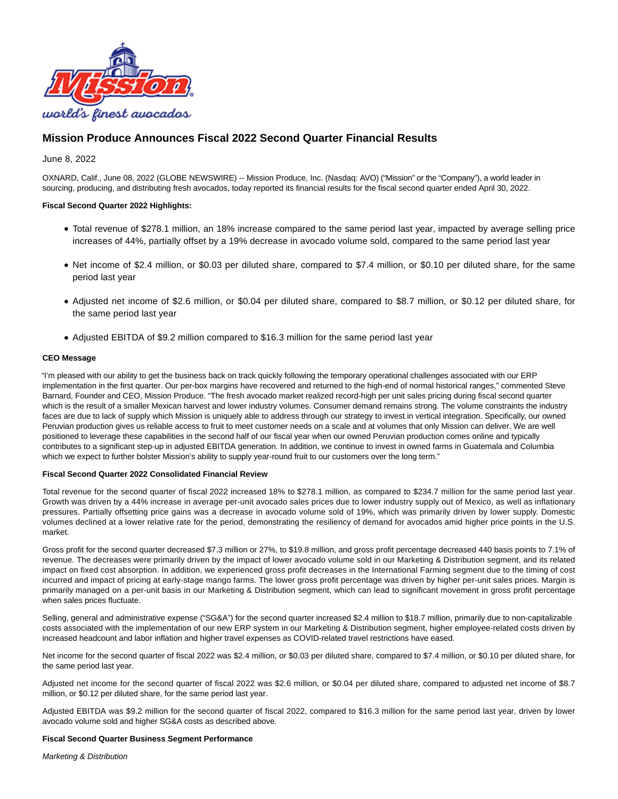

# **Mission Produce Announces Fiscal 2022 Second Quarter Financial Results**

## June 8, 2022

OXNARD, Calif., June 08, 2022 (GLOBE NEWSWIRE) -- Mission Produce, Inc. (Nasdaq: AVO) ("Mission" or the "Company"), a world leader in sourcing, producing, and distributing fresh avocados, today reported its financial results for the fiscal second quarter ended April 30, 2022.

## **Fiscal Second Quarter 2022 Highlights:**

- Total revenue of \$278.1 million, an 18% increase compared to the same period last year, impacted by average selling price increases of 44%, partially offset by a 19% decrease in avocado volume sold, compared to the same period last year
- Net income of \$2.4 million, or \$0.03 per diluted share, compared to \$7.4 million, or \$0.10 per diluted share, for the same period last year
- Adjusted net income of \$2.6 million, or \$0.04 per diluted share, compared to \$8.7 million, or \$0.12 per diluted share, for the same period last year
- Adjusted EBITDA of \$9.2 million compared to \$16.3 million for the same period last year

## **CEO Message**

"I'm pleased with our ability to get the business back on track quickly following the temporary operational challenges associated with our ERP implementation in the first quarter. Our per-box margins have recovered and returned to the high-end of normal historical ranges," commented Steve Barnard, Founder and CEO, Mission Produce. "The fresh avocado market realized record-high per unit sales pricing during fiscal second quarter which is the result of a smaller Mexican harvest and lower industry volumes. Consumer demand remains strong. The volume constraints the industry faces are due to lack of supply which Mission is uniquely able to address through our strategy to invest in vertical integration. Specifically, our owned Peruvian production gives us reliable access to fruit to meet customer needs on a scale and at volumes that only Mission can deliver. We are well positioned to leverage these capabilities in the second half of our fiscal year when our owned Peruvian production comes online and typically contributes to a significant step-up in adjusted EBITDA generation. In addition, we continue to invest in owned farms in Guatemala and Columbia which we expect to further bolster Mission's ability to supply year-round fruit to our customers over the long term."

## **Fiscal Second Quarter 2022 Consolidated Financial Review**

Total revenue for the second quarter of fiscal 2022 increased 18% to \$278.1 million, as compared to \$234.7 million for the same period last year. Growth was driven by a 44% increase in average per-unit avocado sales prices due to lower industry supply out of Mexico, as well as inflationary pressures. Partially offsetting price gains was a decrease in avocado volume sold of 19%, which was primarily driven by lower supply. Domestic volumes declined at a lower relative rate for the period, demonstrating the resiliency of demand for avocados amid higher price points in the U.S. market.

Gross profit for the second quarter decreased \$7.3 million or 27%, to \$19.8 million, and gross profit percentage decreased 440 basis points to 7.1% of revenue. The decreases were primarily driven by the impact of lower avocado volume sold in our Marketing & Distribution segment, and its related impact on fixed cost absorption. In addition, we experienced gross profit decreases in the International Farming segment due to the timing of cost incurred and impact of pricing at early-stage mango farms. The lower gross profit percentage was driven by higher per-unit sales prices. Margin is primarily managed on a per-unit basis in our Marketing & Distribution segment, which can lead to significant movement in gross profit percentage when sales prices fluctuate.

Selling, general and administrative expense ("SG&A") for the second quarter increased \$2.4 million to \$18.7 million, primarily due to non-capitalizable costs associated with the implementation of our new ERP system in our Marketing & Distribution segment, higher employee-related costs driven by increased headcount and labor inflation and higher travel expenses as COVID-related travel restrictions have eased.

Net income for the second quarter of fiscal 2022 was \$2.4 million, or \$0.03 per diluted share, compared to \$7.4 million, or \$0.10 per diluted share, for the same period last year.

Adjusted net income for the second quarter of fiscal 2022 was \$2.6 million, or \$0.04 per diluted share, compared to adjusted net income of \$8.7 million, or \$0.12 per diluted share, for the same period last year.

Adjusted EBITDA was \$9.2 million for the second quarter of fiscal 2022, compared to \$16.3 million for the same period last year, driven by lower avocado volume sold and higher SG&A costs as described above.

#### **Fiscal Second Quarter Business Segment Performance**

Marketing & Distribution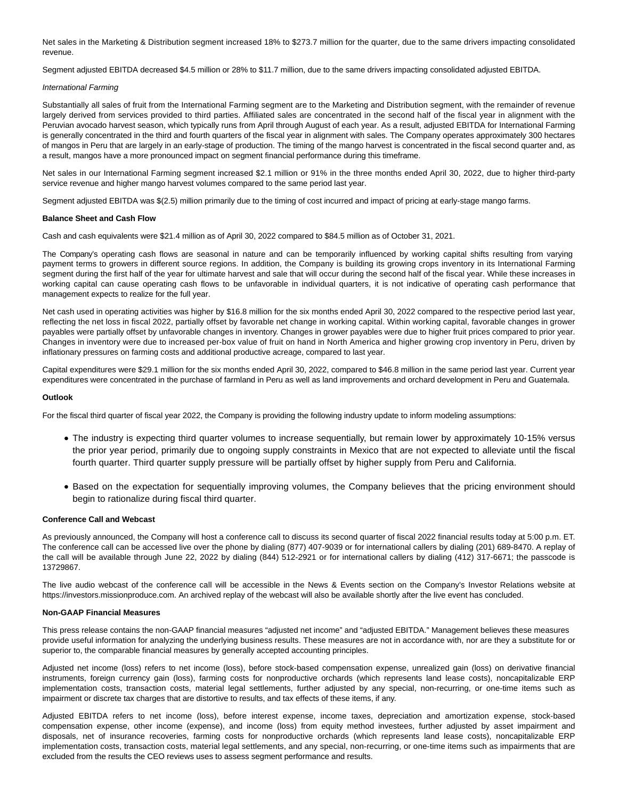Net sales in the Marketing & Distribution segment increased 18% to \$273.7 million for the quarter, due to the same drivers impacting consolidated revenue.

Segment adjusted EBITDA decreased \$4.5 million or 28% to \$11.7 million, due to the same drivers impacting consolidated adjusted EBITDA.

#### International Farming

Substantially all sales of fruit from the International Farming segment are to the Marketing and Distribution segment, with the remainder of revenue largely derived from services provided to third parties. Affiliated sales are concentrated in the second half of the fiscal year in alignment with the Peruvian avocado harvest season, which typically runs from April through August of each year. As a result, adjusted EBITDA for International Farming is generally concentrated in the third and fourth quarters of the fiscal year in alignment with sales. The Company operates approximately 300 hectares of mangos in Peru that are largely in an early-stage of production. The timing of the mango harvest is concentrated in the fiscal second quarter and, as a result, mangos have a more pronounced impact on segment financial performance during this timeframe.

Net sales in our International Farming segment increased \$2.1 million or 91% in the three months ended April 30, 2022, due to higher third-party service revenue and higher mango harvest volumes compared to the same period last year.

Segment adjusted EBITDA was \$(2.5) million primarily due to the timing of cost incurred and impact of pricing at early-stage mango farms.

#### **Balance Sheet and Cash Flow**

Cash and cash equivalents were \$21.4 million as of April 30, 2022 compared to \$84.5 million as of October 31, 2021.

The Company's operating cash flows are seasonal in nature and can be temporarily influenced by working capital shifts resulting from varying payment terms to growers in different source regions. In addition, the Company is building its growing crops inventory in its International Farming segment during the first half of the year for ultimate harvest and sale that will occur during the second half of the fiscal year. While these increases in working capital can cause operating cash flows to be unfavorable in individual quarters, it is not indicative of operating cash performance that management expects to realize for the full year.

Net cash used in operating activities was higher by \$16.8 million for the six months ended April 30, 2022 compared to the respective period last year, reflecting the net loss in fiscal 2022, partially offset by favorable net change in working capital. Within working capital, favorable changes in grower payables were partially offset by unfavorable changes in inventory. Changes in grower payables were due to higher fruit prices compared to prior year. Changes in inventory were due to increased per-box value of fruit on hand in North America and higher growing crop inventory in Peru, driven by inflationary pressures on farming costs and additional productive acreage, compared to last year.

Capital expenditures were \$29.1 million for the six months ended April 30, 2022, compared to \$46.8 million in the same period last year. Current year expenditures were concentrated in the purchase of farmland in Peru as well as land improvements and orchard development in Peru and Guatemala.

#### **Outlook**

For the fiscal third quarter of fiscal year 2022, the Company is providing the following industry update to inform modeling assumptions:

- The industry is expecting third quarter volumes to increase sequentially, but remain lower by approximately 10-15% versus the prior year period, primarily due to ongoing supply constraints in Mexico that are not expected to alleviate until the fiscal fourth quarter. Third quarter supply pressure will be partially offset by higher supply from Peru and California.
- Based on the expectation for sequentially improving volumes, the Company believes that the pricing environment should begin to rationalize during fiscal third quarter.

#### **Conference Call and Webcast**

As previously announced, the Company will host a conference call to discuss its second quarter of fiscal 2022 financial results today at 5:00 p.m. ET. The conference call can be accessed live over the phone by dialing (877) 407-9039 or for international callers by dialing (201) 689-8470. A replay of the call will be available through June 22, 2022 by dialing (844) 512-2921 or for international callers by dialing (412) 317-6671; the passcode is 13729867.

The live audio webcast of the conference call will be accessible in the News & Events section on the Company's Investor Relations website at https://investors.missionproduce.com. An archived replay of the webcast will also be available shortly after the live event has concluded.

#### **Non-GAAP Financial Measures**

This press release contains the non-GAAP financial measures "adjusted net income" and "adjusted EBITDA." Management believes these measures provide useful information for analyzing the underlying business results. These measures are not in accordance with, nor are they a substitute for or superior to, the comparable financial measures by generally accepted accounting principles.

Adjusted net income (loss) refers to net income (loss), before stock-based compensation expense, unrealized gain (loss) on derivative financial instruments, foreign currency gain (loss), farming costs for nonproductive orchards (which represents land lease costs), noncapitalizable ERP implementation costs, transaction costs, material legal settlements, further adjusted by any special, non-recurring, or one-time items such as impairment or discrete tax charges that are distortive to results, and tax effects of these items, if any.

Adjusted EBITDA refers to net income (loss), before interest expense, income taxes, depreciation and amortization expense, stock-based compensation expense, other income (expense), and income (loss) from equity method investees, further adjusted by asset impairment and disposals, net of insurance recoveries, farming costs for nonproductive orchards (which represents land lease costs), noncapitalizable ERP implementation costs, transaction costs, material legal settlements, and any special, non-recurring, or one-time items such as impairments that are excluded from the results the CEO reviews uses to assess segment performance and results.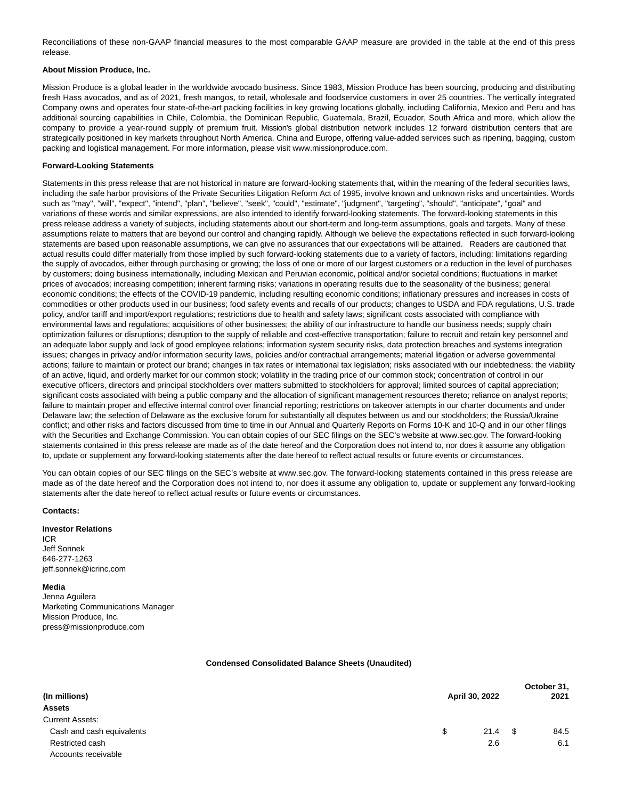Reconciliations of these non-GAAP financial measures to the most comparable GAAP measure are provided in the table at the end of this press release.

### **About Mission Produce, Inc.**

Mission Produce is a global leader in the worldwide avocado business. Since 1983, Mission Produce has been sourcing, producing and distributing fresh Hass avocados, and as of 2021, fresh mangos, to retail, wholesale and foodservice customers in over 25 countries. The vertically integrated Company owns and operates four state-of-the-art packing facilities in key growing locations globally, including California, Mexico and Peru and has additional sourcing capabilities in Chile, Colombia, the Dominican Republic, Guatemala, Brazil, Ecuador, South Africa and more, which allow the company to provide a year-round supply of premium fruit. Mission's global distribution network includes 12 forward distribution centers that are strategically positioned in key markets throughout North America, China and Europe, offering value-added services such as ripening, bagging, custom packing and logistical management. For more information, please visit www.missionproduce.com.

### **Forward-Looking Statements**

Statements in this press release that are not historical in nature are forward-looking statements that, within the meaning of the federal securities laws, including the safe harbor provisions of the Private Securities Litigation Reform Act of 1995, involve known and unknown risks and uncertainties. Words such as "may", "will", "expect", "intend", "plan", "believe", "seek", "could", "estimate", "judgment", "targeting", "should", "anticipate", "goal" and variations of these words and similar expressions, are also intended to identify forward-looking statements. The forward-looking statements in this press release address a variety of subjects, including statements about our short-term and long-term assumptions, goals and targets. Many of these assumptions relate to matters that are beyond our control and changing rapidly. Although we believe the expectations reflected in such forward-looking statements are based upon reasonable assumptions, we can give no assurances that our expectations will be attained. Readers are cautioned that actual results could differ materially from those implied by such forward-looking statements due to a variety of factors, including: limitations regarding the supply of avocados, either through purchasing or growing; the loss of one or more of our largest customers or a reduction in the level of purchases by customers; doing business internationally, including Mexican and Peruvian economic, political and/or societal conditions; fluctuations in market prices of avocados; increasing competition; inherent farming risks; variations in operating results due to the seasonality of the business; general economic conditions; the effects of the COVID-19 pandemic, including resulting economic conditions; inflationary pressures and increases in costs of commodities or other products used in our business; food safety events and recalls of our products; changes to USDA and FDA regulations, U.S. trade policy, and/or tariff and import/export regulations; restrictions due to health and safety laws; significant costs associated with compliance with environmental laws and regulations; acquisitions of other businesses; the ability of our infrastructure to handle our business needs; supply chain optimization failures or disruptions; disruption to the supply of reliable and cost-effective transportation; failure to recruit and retain key personnel and an adequate labor supply and lack of good employee relations; information system security risks, data protection breaches and systems integration issues; changes in privacy and/or information security laws, policies and/or contractual arrangements; material litigation or adverse governmental actions; failure to maintain or protect our brand; changes in tax rates or international tax legislation; risks associated with our indebtedness; the viability of an active, liquid, and orderly market for our common stock; volatility in the trading price of our common stock; concentration of control in our executive officers, directors and principal stockholders over matters submitted to stockholders for approval; limited sources of capital appreciation; significant costs associated with being a public company and the allocation of significant management resources thereto; reliance on analyst reports; failure to maintain proper and effective internal control over financial reporting; restrictions on takeover attempts in our charter documents and under Delaware law; the selection of Delaware as the exclusive forum for substantially all disputes between us and our stockholders; the Russia/Ukraine conflict; and other risks and factors discussed from time to time in our Annual and Quarterly Reports on Forms 10-K and 10-Q and in our other filings with the Securities and Exchange Commission. You can obtain copies of our SEC filings on the SEC's website at www.sec.gov. The forward-looking statements contained in this press release are made as of the date hereof and the Corporation does not intend to, nor does it assume any obligation to, update or supplement any forward-looking statements after the date hereof to reflect actual results or future events or circumstances.

You can obtain copies of our SEC filings on the SEC's website at www.sec.gov. The forward-looking statements contained in this press release are made as of the date hereof and the Corporation does not intend to, nor does it assume any obligation to, update or supplement any forward-looking statements after the date hereof to reflect actual results or future events or circumstances.

#### **Contacts:**

## **Investor Relations**

ICR Jeff Sonnek 646-277-1263 jeff.sonnek@icrinc.com

#### **Media**

Jenna Aguilera Marketing Communications Manager Mission Produce, Inc. press@missionproduce.com

#### **Condensed Consolidated Balance Sheets (Unaudited)**

| (In millions)             |     | April 30, 2022 |  |      |  |  |
|---------------------------|-----|----------------|--|------|--|--|
| <b>Assets</b>             |     |                |  |      |  |  |
| <b>Current Assets:</b>    |     |                |  |      |  |  |
| Cash and cash equivalents | \$. | 21.4           |  | 84.5 |  |  |
| Restricted cash           |     | 2.6            |  | 6.1  |  |  |
| Accounts receivable       |     |                |  |      |  |  |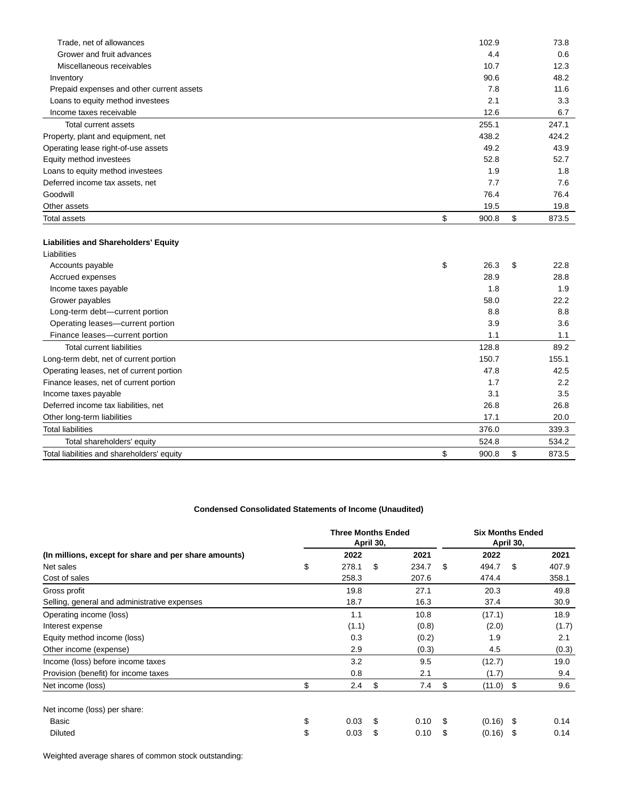| Trade, net of allowances                    | 102.9       | 73.8        |
|---------------------------------------------|-------------|-------------|
| Grower and fruit advances                   | 4.4         | 0.6         |
| Miscellaneous receivables                   | 10.7        | 12.3        |
| Inventory                                   | 90.6        | 48.2        |
| Prepaid expenses and other current assets   | 7.8         | 11.6        |
| Loans to equity method investees            | 2.1         | 3.3         |
| Income taxes receivable                     | 12.6        | 6.7         |
| Total current assets                        | 255.1       | 247.1       |
| Property, plant and equipment, net          | 438.2       | 424.2       |
| Operating lease right-of-use assets         | 49.2        | 43.9        |
| Equity method investees                     | 52.8        | 52.7        |
| Loans to equity method investees            | 1.9         | 1.8         |
| Deferred income tax assets, net             | 7.7         | 7.6         |
| Goodwill                                    | 76.4        | 76.4        |
| Other assets                                | 19.5        | 19.8        |
| <b>Total assets</b>                         | \$<br>900.8 | \$<br>873.5 |
| <b>Liabilities and Shareholders' Equity</b> |             |             |
| Liabilities                                 |             |             |
| Accounts payable                            | \$<br>26.3  | \$<br>22.8  |
| Accrued expenses                            | 28.9        | 28.8        |
| Income taxes payable                        | 1.8         | 1.9         |
| Grower payables                             | 58.0        | 22.2        |
| Long-term debt-current portion              | 8.8         | 8.8         |
| Operating leases-current portion            | 3.9         | 3.6         |
| Finance leases-current portion              | 1.1         | 1.1         |
| <b>Total current liabilities</b>            | 128.8       | 89.2        |
| Long-term debt, net of current portion      | 150.7       | 155.1       |
| Operating leases, net of current portion    | 47.8        | 42.5        |
| Finance leases, net of current portion      | 1.7         | 2.2         |
| Income taxes payable                        | 3.1         | 3.5         |
| Deferred income tax liabilities, net        | 26.8        | 26.8        |
| Other long-term liabilities                 | 17.1        | 20.0        |
| <b>Total liabilities</b>                    | 376.0       | 339.3       |
| Total shareholders' equity                  | 524.8       | 534.2       |
| Total liabilities and shareholders' equity  | \$<br>900.8 | \$<br>873.5 |

# **Condensed Consolidated Statements of Income (Unaudited)**

|                                                       | <b>Three Months Ended</b> | April 30, | <b>Six Months Ended</b><br>April 30, |    |        |    |       |
|-------------------------------------------------------|---------------------------|-----------|--------------------------------------|----|--------|----|-------|
| (In millions, except for share and per share amounts) | 2022                      |           | 2021                                 |    | 2022   |    | 2021  |
| Net sales                                             | \$<br>278.1               | \$        | 234.7                                | \$ | 494.7  | \$ | 407.9 |
| Cost of sales                                         | 258.3                     |           | 207.6                                |    | 474.4  |    | 358.1 |
| Gross profit                                          | 19.8                      |           | 27.1                                 |    | 20.3   |    | 49.8  |
| Selling, general and administrative expenses          | 18.7                      |           | 16.3                                 |    | 37.4   |    | 30.9  |
| Operating income (loss)                               | 1.1                       |           | 10.8                                 |    | (17.1) |    | 18.9  |
| Interest expense                                      | (1.1)                     |           | (0.8)                                |    | (2.0)  |    | (1.7) |
| Equity method income (loss)                           | 0.3                       |           | (0.2)                                |    | 1.9    |    | 2.1   |
| Other income (expense)                                | 2.9                       |           | (0.3)                                |    | 4.5    |    | (0.3) |
| Income (loss) before income taxes                     | 3.2                       |           | 9.5                                  |    | (12.7) |    | 19.0  |
| Provision (benefit) for income taxes                  | 0.8                       |           | 2.1                                  |    | (1.7)  |    | 9.4   |
| Net income (loss)                                     | \$<br>2.4                 | \$        | 7.4                                  | \$ | (11.0) | \$ | 9.6   |
| Net income (loss) per share:                          |                           |           |                                      |    |        |    |       |
| Basic                                                 | \$<br>0.03                |           | 0.10                                 | \$ | (0.16) | \$ | 0.14  |
| <b>Diluted</b>                                        | \$<br>0.03                | \$        | 0.10                                 | \$ | (0.16) | \$ | 0.14  |

Weighted average shares of common stock outstanding: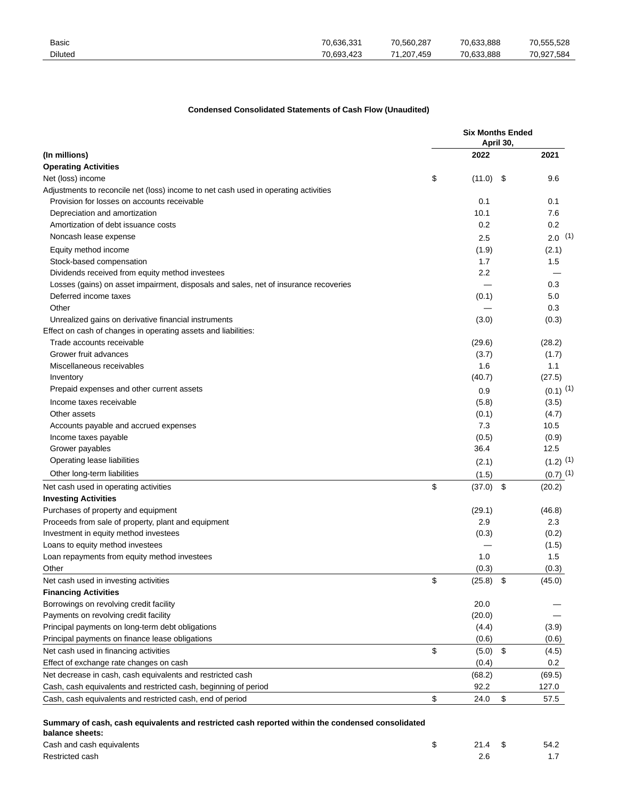| <b>Basic</b><br>. | 70.636.331<br>0.000.001    | 70<br>.560.287      | .633,888<br>70. | 70.555.528<br>70.55    |
|-------------------|----------------------------|---------------------|-----------------|------------------------|
| Diluted           | <b>70 693</b><br>100<br>᠇୵ | - -<br>.207<br>.459 | 70.<br>.633.888 | 70.027<br>.584<br>U.YZ |

# **Condensed Consolidated Statements of Cash Flow (Unaudited)**

|                                                                                      |     | <b>Six Months Ended</b> | April 30, |               |
|--------------------------------------------------------------------------------------|-----|-------------------------|-----------|---------------|
| (In millions)                                                                        |     | 2022                    |           | 2021          |
| <b>Operating Activities</b>                                                          |     |                         |           |               |
| Net (loss) income                                                                    | \$  | (11.0)                  | -\$       | 9.6           |
| Adjustments to reconcile net (loss) income to net cash used in operating activities  |     |                         |           |               |
| Provision for losses on accounts receivable                                          |     | 0.1                     |           | 0.1           |
| Depreciation and amortization                                                        |     | 10.1                    |           | 7.6           |
| Amortization of debt issuance costs                                                  |     | 0.2                     |           | 0.2           |
| Noncash lease expense                                                                |     | 2.5                     |           | $2.0$ (1)     |
| Equity method income                                                                 |     | (1.9)                   |           | (2.1)         |
| Stock-based compensation                                                             |     | 1.7                     |           | 1.5           |
| Dividends received from equity method investees                                      |     | 2.2                     |           |               |
| Losses (gains) on asset impairment, disposals and sales, net of insurance recoveries |     |                         |           | 0.3           |
| Deferred income taxes                                                                |     | (0.1)                   |           | 5.0           |
| Other                                                                                |     |                         |           | 0.3           |
| Unrealized gains on derivative financial instruments                                 |     | (3.0)                   |           | (0.3)         |
| Effect on cash of changes in operating assets and liabilities:                       |     |                         |           |               |
| Trade accounts receivable                                                            |     | (29.6)                  |           | (28.2)        |
| Grower fruit advances                                                                |     | (3.7)                   |           | (1.7)         |
| Miscellaneous receivables                                                            |     | 1.6                     |           | 1.1           |
| Inventory                                                                            |     | (40.7)                  |           | (27.5)        |
| Prepaid expenses and other current assets                                            |     | 0.9                     |           | $(0.1)$ $(1)$ |
| Income taxes receivable                                                              |     | (5.8)                   |           | (3.5)         |
| Other assets                                                                         |     | (0.1)                   |           | (4.7)         |
| Accounts payable and accrued expenses                                                |     | 7.3                     |           | 10.5          |
| Income taxes payable                                                                 |     | (0.5)                   |           | (0.9)         |
| Grower payables                                                                      |     | 36.4                    |           | 12.5          |
| Operating lease liabilities                                                          |     | (2.1)                   |           | $(1.2)$ $(1)$ |
| Other long-term liabilities                                                          |     | (1.5)                   |           | $(0.7)$ (1)   |
| Net cash used in operating activities                                                | \$  | $(37.0)$ \$             |           | (20.2)        |
| <b>Investing Activities</b>                                                          |     |                         |           |               |
| Purchases of property and equipment                                                  |     | (29.1)                  |           | (46.8)        |
| Proceeds from sale of property, plant and equipment                                  |     | 2.9                     |           | 2.3           |
| Investment in equity method investees                                                |     | (0.3)                   |           | (0.2)         |
| Loans to equity method investees                                                     |     |                         |           | (1.5)         |
| Loan repayments from equity method investees                                         |     | 1.0                     |           | 1.5           |
| Other                                                                                |     | (0.3)                   |           | (0.3)         |
| Net cash used in investing activities                                                | \$. | (25.8)                  | \$.       | (45.0)        |
| <b>Financing Activities</b>                                                          |     |                         |           |               |
| Borrowings on revolving credit facility                                              |     | 20.0                    |           |               |
| Payments on revolving credit facility                                                |     | (20.0)                  |           |               |
| Principal payments on long-term debt obligations                                     |     | (4.4)                   |           | (3.9)         |
| Principal payments on finance lease obligations                                      |     | (0.6)                   |           | (0.6)         |
| Net cash used in financing activities                                                | \$  | (5.0)                   | \$        | (4.5)         |
| Effect of exchange rate changes on cash                                              |     | (0.4)                   |           | 0.2           |
| Net decrease in cash, cash equivalents and restricted cash                           |     | (68.2)                  |           | (69.5)        |
| Cash, cash equivalents and restricted cash, beginning of period                      |     | 92.2                    |           | 127.0         |
| Cash, cash equivalents and restricted cash, end of period                            | \$  | 24.0                    | \$        | 57.5          |

**Summary of cash, cash equivalents and restricted cash reported within the condensed consolidated balance sheets:**

| Cash and cash equivalents | 21.4 \$ | 54.2 |
|---------------------------|---------|------|
| Restricted cash           |         |      |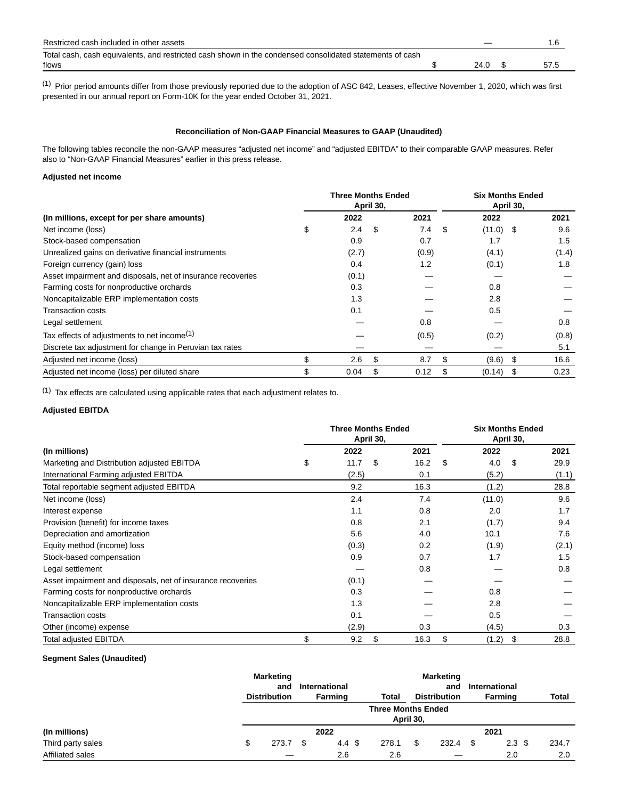| Restricted cash included in other assets                                                                 |      |      |
|----------------------------------------------------------------------------------------------------------|------|------|
| Total cash, cash equivalents, and restricted cash shown in the condensed consolidated statements of cash |      |      |
| flows                                                                                                    | 24 N | 57.5 |

(1) Prior period amounts differ from those previously reported due to the adoption of ASC 842, Leases, effective November 1, 2020, which was first presented in our annual report on Form-10K for the year ended October 31, 2021.

## **Reconciliation of Non-GAAP Financial Measures to GAAP (Unaudited)**

The following tables reconcile the non-GAAP measures "adjusted net income" and "adjusted EBITDA" to their comparable GAAP measures. Refer also to "Non-GAAP Financial Measures" earlier in this press release.

## **Adjusted net income**

|                                                             | <b>Three Months Ended</b><br>April 30, |       |     |       |     | <b>Six Months Ended</b><br>April 30, |    |       |  |  |
|-------------------------------------------------------------|----------------------------------------|-------|-----|-------|-----|--------------------------------------|----|-------|--|--|
| (In millions, except for per share amounts)                 |                                        | 2022  |     | 2021  |     | 2022                                 |    | 2021  |  |  |
| Net income (loss)                                           | \$                                     | 2.4   | S   | 7.4   | \$  | $(11.0)$ \$                          |    | 9.6   |  |  |
| Stock-based compensation                                    |                                        | 0.9   |     | 0.7   |     | 1.7                                  |    | 1.5   |  |  |
| Unrealized gains on derivative financial instruments        |                                        | (2.7) |     | (0.9) |     | (4.1)                                |    | (1.4) |  |  |
| Foreign currency (gain) loss                                |                                        | 0.4   |     | 1.2   |     | (0.1)                                |    | 1.8   |  |  |
| Asset impairment and disposals, net of insurance recoveries |                                        | (0.1) |     |       |     |                                      |    |       |  |  |
| Farming costs for nonproductive orchards                    |                                        | 0.3   |     |       |     | 0.8                                  |    |       |  |  |
| Noncapitalizable ERP implementation costs                   |                                        | 1.3   |     |       |     | 2.8                                  |    |       |  |  |
| <b>Transaction costs</b>                                    |                                        | 0.1   |     |       |     | 0.5                                  |    |       |  |  |
| Legal settlement                                            |                                        |       |     | 0.8   |     |                                      |    | 0.8   |  |  |
| Tax effects of adjustments to net income <sup>(1)</sup>     |                                        |       |     | (0.5) |     | (0.2)                                |    | (0.8) |  |  |
| Discrete tax adjustment for change in Peruvian tax rates    |                                        |       |     |       |     |                                      |    | 5.1   |  |  |
| Adjusted net income (loss)                                  |                                        | 2.6   | \$. | 8.7   | \$. | (9.6)                                | S  | 16.6  |  |  |
| Adjusted net income (loss) per diluted share                |                                        | 0.04  |     | 0.12  | S   | (0.14)                               | \$ | 0.23  |  |  |

(1) Tax effects are calculated using applicable rates that each adjustment relates to.

## **Adjusted EBITDA**

|                                                             |    | <b>Three Months Ended</b><br>April 30, |      | <b>Six Months Ended</b><br>April 30, |    |       |  |  |
|-------------------------------------------------------------|----|----------------------------------------|------|--------------------------------------|----|-------|--|--|
| (In millions)                                               |    | 2022                                   | 2021 | 2022                                 |    | 2021  |  |  |
| Marketing and Distribution adjusted EBITDA                  | \$ | 11.7<br>\$                             | 16.2 | 4.0<br>\$                            | S  | 29.9  |  |  |
| International Farming adjusted EBITDA                       |    | (2.5)                                  | 0.1  | (5.2)                                |    | (1.1) |  |  |
| Total reportable segment adjusted EBITDA                    |    | 9.2                                    | 16.3 | (1.2)                                |    | 28.8  |  |  |
| Net income (loss)                                           |    | 2.4                                    | 7.4  | (11.0)                               |    | 9.6   |  |  |
| Interest expense                                            |    | 1.1                                    | 0.8  | 2.0                                  |    | 1.7   |  |  |
| Provision (benefit) for income taxes                        |    | 0.8                                    | 2.1  | (1.7)                                |    | 9.4   |  |  |
| Depreciation and amortization                               |    | 5.6                                    | 4.0  | 10.1                                 |    | 7.6   |  |  |
| Equity method (income) loss                                 |    | (0.3)                                  | 0.2  | (1.9)                                |    | (2.1) |  |  |
| Stock-based compensation                                    |    | 0.9                                    | 0.7  | 1.7                                  |    | 1.5   |  |  |
| Legal settlement                                            |    |                                        | 0.8  |                                      |    | 0.8   |  |  |
| Asset impairment and disposals, net of insurance recoveries |    | (0.1)                                  |      |                                      |    |       |  |  |
| Farming costs for nonproductive orchards                    |    | 0.3                                    |      | 0.8                                  |    |       |  |  |
| Noncapitalizable ERP implementation costs                   |    | 1.3                                    |      | 2.8                                  |    |       |  |  |
| <b>Transaction costs</b>                                    |    | 0.1                                    |      | 0.5                                  |    |       |  |  |
| Other (income) expense                                      |    | (2.9)                                  | 0.3  | (4.5)                                |    | 0.3   |  |  |
| <b>Total adjusted EBITDA</b>                                | \$ | 9.2<br>S.                              | 16.3 | (1.2)<br>\$                          | \$ | 28.8  |  |  |

## **Segment Sales (Unaudited)**

|                   | <b>Marketing</b><br>and<br><b>Distribution</b> |  | International<br>Farming | <b>Total</b> |    | <b>Marketing</b><br>and<br><b>Distribution</b> |      | International<br>Farming | Total |
|-------------------|------------------------------------------------|--|--------------------------|--------------|----|------------------------------------------------|------|--------------------------|-------|
|                   | <b>Three Months Ended</b><br>April 30,         |  |                          |              |    |                                                |      |                          |       |
| (In millions)     | 2022                                           |  |                          |              |    |                                                | 2021 |                          |       |
| Third party sales | 273.7                                          |  | 4.4 $$$                  | 278.1        | \$ | 232.4                                          | \$.  | 2.3 <sup>5</sup>         | 234.7 |
| Affiliated sales  |                                                |  | 2.6                      | 2.6          |    |                                                |      | 2.0                      | 2.0   |